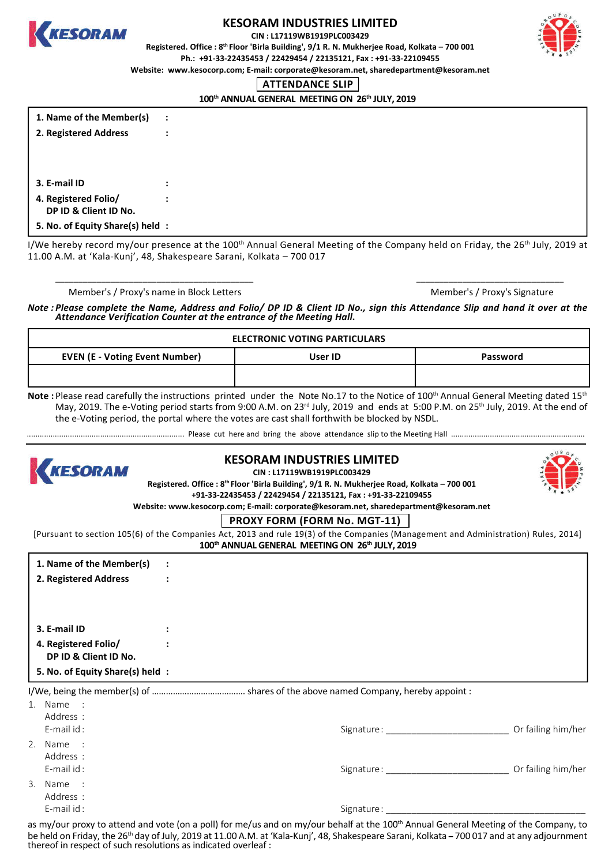

# **KESORAM INDUSTRIES LIMITED**

**CIN : L17119WB1919PLC003429**

**Registered. Office : 8th Floor 'Birla Building', 9/1 R. N. Mukherjee Road, Kolkata – 700 001 Ph.: +91-33-22435453 / 22429454 / 22135121, Fax : +91-33-22109455**



**Website: www.kesocorp.com; E-mail: corporate@kesoram.net, sharedepartment@kesoram.net**

#### **ATTENDANCE SLIP**

100<sup>th</sup> ANNUAL GENERAL MEETING ON 26<sup>th</sup> JULY, 2019

| 1. Name of the Member(s) |  |
|--------------------------|--|
| 2. Registered Address    |  |

| 3. E-mail ID          |  |
|-----------------------|--|
| 4. Registered Folio/  |  |
| DP ID & Client ID No. |  |
|                       |  |

**5. No. of Equity Share(s) held :**

I/We hereby record my/our presence at the 100<sup>th</sup> Annual General Meeting of the Company held on Friday, the 26<sup>th</sup> July, 2019 at 11.00 A.M. at 'Kala-Kunj', 48, Shakespeare Sarani, Kolkata – 700 017

\_\_\_\_\_\_\_\_\_\_\_\_\_\_\_\_\_\_\_\_\_\_\_\_\_\_\_\_\_\_\_\_\_\_\_\_\_\_\_\_\_\_\_ \_\_\_\_\_\_\_\_\_\_\_\_\_\_\_\_\_\_\_\_\_\_\_\_\_\_\_\_\_\_\_\_

Member's / Proxy's name in Block Letters Member's / Proxy's Signature Member's / Proxy's Signature

*Note : Please complete the Name, Address and Folio/ DP ID & Client ID No., sign this Attendance Slip and hand it over at the Attendance Verification Counter at the entrance of the Meeting Hall.*

| <b>ELECTRONIC VOTING PARTICULARS</b>  |         |          |  |  |
|---------------------------------------|---------|----------|--|--|
| <b>EVEN (E - Voting Event Number)</b> | User ID | Password |  |  |
|                                       |         |          |  |  |

Note : Please read carefully the instructions printed under the Note No.17 to the Notice of 100<sup>th</sup> Annual General Meeting dated 15<sup>th</sup> May, 2019. The e-Voting period starts from 9:00 A.M. on 23<sup>rd</sup> July, 2019 and ends at 5:00 P.M. on 25<sup>th</sup> July, 2019. At the end of the e-Voting period, the portal where the votes are cast shall forthwith be blocked by NSDL.

......................................................................... Please cut here and bring the above attendance slip to the Meeting Hall ..............................................................



## **KESORAM INDUSTRIES LIMITED**

**CIN : L17119WB1919PLC003429**

**Registered. Office : 8th Floor 'Birla Building', 9/1 R. N. Mukherjee Road, Kolkata – 700 001**



**+91-33-22435453 / 22429454 / 22135121, Fax : +91-33-22109455 Website: www.kesocorp.com; E-mail: corporate@kesoram.net, sharedepartment@kesoram.net**

# **PROXY FORM (FORM No. MGT-11)**

100<sup>th</sup> ANNUAL GENERAL MEETING ON 26<sup>th</sup> JULY, 2019 [Pursuant to section 105(6) of the Companies Act, 2013 and rule 19(3) of the Companies (Management and Administration) Rules, 2014]

| 1. Name of the Member(s)         | $\ddot{\phantom{a}}$ |                       |                    |
|----------------------------------|----------------------|-----------------------|--------------------|
| 2. Registered Address            | $\ddot{\phantom{a}}$ |                       |                    |
|                                  |                      |                       |                    |
|                                  |                      |                       |                    |
| 3. E-mail ID                     | $\ddot{\phantom{a}}$ |                       |                    |
| 4. Registered Folio/             |                      |                       |                    |
| DP ID & Client ID No.            |                      |                       |                    |
| 5. No. of Equity Share(s) held : |                      |                       |                    |
|                                  |                      |                       |                    |
| 1. Name :                        |                      |                       |                    |
| Address :                        |                      |                       |                    |
| E-mail id:                       |                      | Signature: Signature: | Or failing him/her |
| 2. Name :                        |                      |                       |                    |
| Address :                        |                      |                       |                    |
| E-mail id:                       |                      | Signature:            | Or failing him/her |
|                                  |                      |                       |                    |

3. Name : Address :

E-mail id : Signature : \_\_\_\_\_\_\_\_\_\_\_\_\_\_\_\_\_\_\_\_\_\_\_\_\_\_\_\_\_\_\_\_\_\_\_\_\_\_\_

as my/our proxy to attend and vote (on a poll) for me/us and on my/our behalf at the 100<sup>th</sup> Annual General Meeting of the Company, to be held on Friday, the 26<sup>th</sup> day of July, 2019 at 11.00 A.M. at 'Kala-Kunj', 48, Shakespeare Sarani, Kolkata - 700 017 and at any adjournment thereof in respect of such resolutions as indicated overleaf :